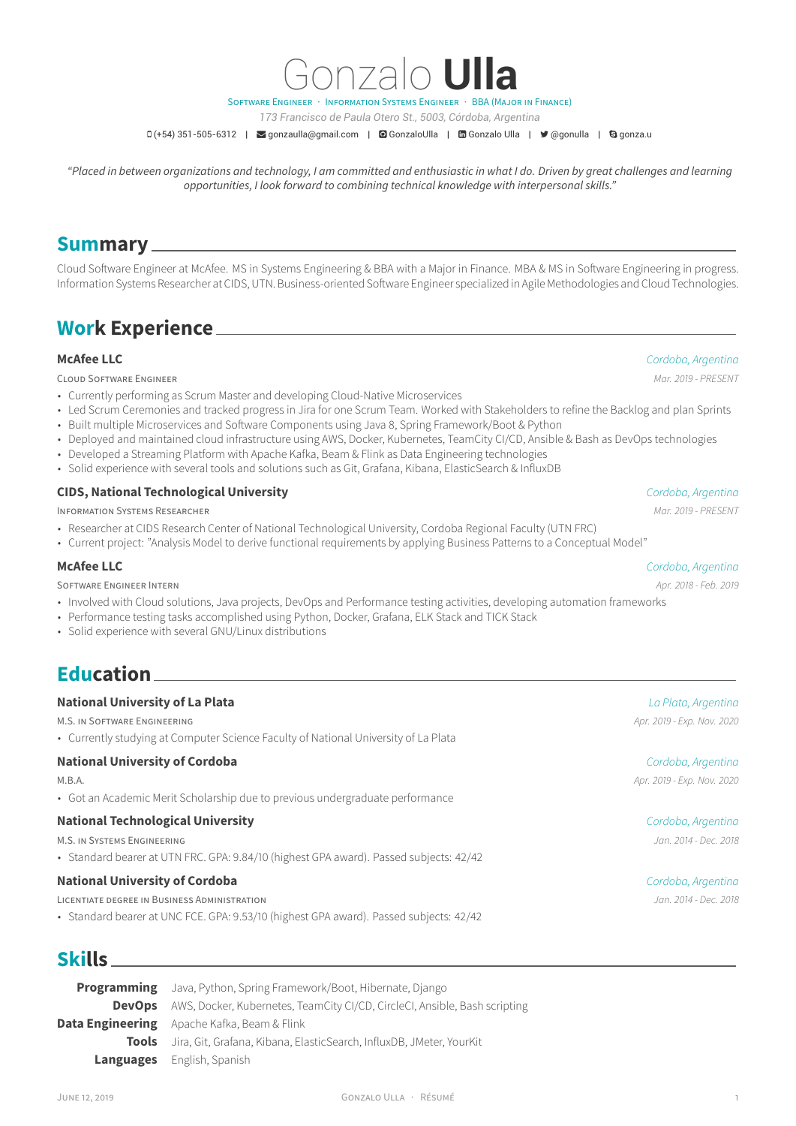

Gonzalo **Ulla**

*173 Francisco de Paula Otero St., 5003, Córdoba, Argentina*

 $\Box$  (+54) 351-505-6312 |  $\Box$  [gonzaulla@gmail.com](mailto:gonzaulla@gmail.com) |  $\Box$  [GonzaloUlla](https://github.com/GonzaloUlla) |  $\Box$  [Gonzalo Ulla](https://www.linkedin.com/in/Gonzalo Ulla) |  $\Box$  [@gonulla](https://twitter.com/@gonulla) |  $\Box$  gonza.u

*"Placed in between organizations and technology, I am committed and enthusiastic in what I do. Driven by great challenges and learning opportunities, I look forward to combining technical knowledge with interpersonal skills."*

## **Summary**

Cloud Software Engineer at McAfee. MS in Systems Engineering & BBA with a Major in Finance. MBA & MS in Software Engineering in progress. Information Systems Researcher at CIDS, UTN. Business-oriented Software Engineer specialized in Agile Methodologies and Cloud Technologies.

# **Work Experience**

CLOUD SOFTWARE ENGINEER *Mar. 2019 - PRESENT*

- Currently performing as Scrum Master and developing Cloud-Native Microservices
- Led Scrum Ceremonies and tracked progress in Jira for one Scrum Team. Worked with Stakeholders to refine the Backlog and plan Sprints
- Built multiple Microservices and Software Components using Java 8, Spring Framework/Boot & Python
- Deployed and maintained cloud infrastructure using AWS, Docker, Kubernetes, TeamCity CI/CD, Ansible & Bash as DevOps technologies
- Developed a Streaming Platform with Apache Kafka, Beam & Flink as Data Engineering technologies
- Solid experience with several tools and solutions such as Git, Grafana, Kibana, ElasticSearch & InfluxDB

#### **CIDS, National Technological University** *Cordoba, Argentina*

INFORMATION SYSTEMS RESEARCHER *Mar. 2019 - PRESENT*

- Researcher at CIDS Research Center of National Technological University, Cordoba Regional Faculty (UTN FRC)
- Current project: "Analysis Model to derive functional requirements by applying Business Patterns to a Conceptual Model"

SOFTWARE ENGINEER INTERN *Apr. 2018 - Feb. 2019*

- Involved with Cloud solutions, Java projects, DevOps and Performance testing activities, developing automation frameworks
- Performance testing tasks accomplished using Python, Docker, Grafana, ELK Stack and TICK Stack
- Solid experience with several GNU/Linux distributions

## **Education**

#### **National University of La Plata** *La Plata, Argentina*

M.S. IN SOFTWARE ENGINEERING *Apr. 2019 - Exp. Nov. 2020*

• Currently studying at Computer Science Faculty of National University of La Plata

### **National University of Cordoba** *Cordoba, Argentina*

• Got an Academic Merit Scholarship due to previous undergraduate performance

### **National Technological University** *Cordoba, Argentina*

• Standard bearer at UTN FRC. GPA: 9.84/10 (highest GPA award). Passed subjects: 42/42

#### **National University of Cordoba** *Cordoba, Argentina*

LICENTIATE DEGREE IN BUSINESS ADMINISTRATION *Jan. 2014 - Dec. 2018*

• Standard bearer at UNC FCE. GPA: 9.53/10 (highest GPA award). Passed subjects: 42/42

## **Skills**

**Programming** Java, Python, Spring Framework/Boot, Hibernate, Django **DevOps** AWS, Docker, Kubernetes, TeamCity CI/CD, CircleCI, Ansible, Bash scripting **Data Engineering** Apache Kafka, Beam & Flink **Tools** Jira, Git, Grafana, Kibana, ElasticSearch, InfluxDB, JMeter, YourKit **Languages** English, Spanish

**McAfee LLC** *Cordoba, Argentina*

**McAfee LLC** *Cordoba, Argentina*

M.B.A. *Apr. 2019 - Exp. Nov. 2020*

M.S. IN SYSTEMS ENGINEERING *Jan. 2014 - Dec. 2018*